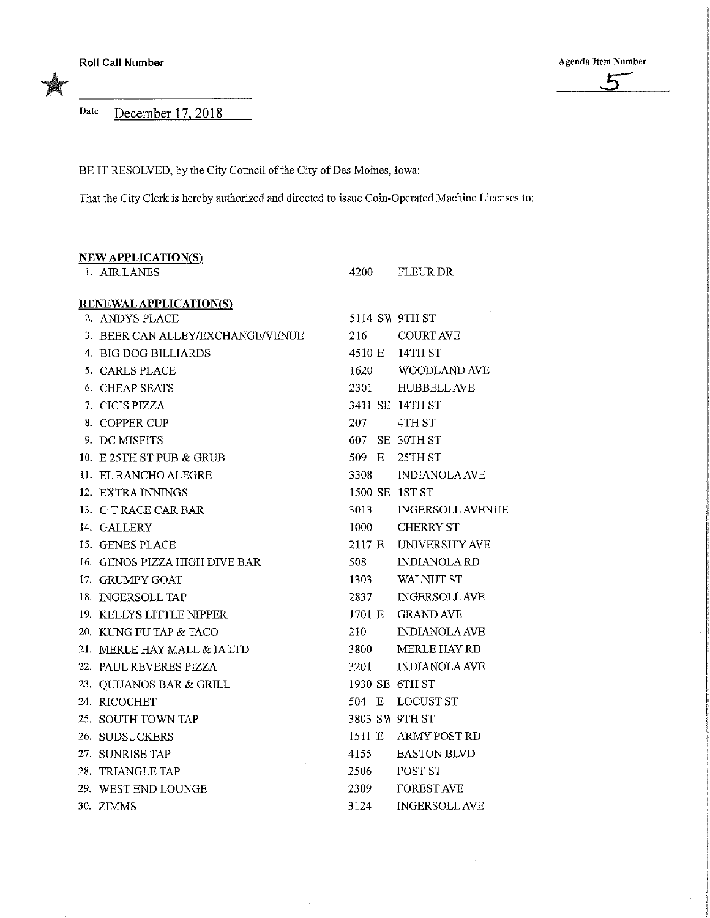Date December 17, 2018

BE IT RESOLVED, by the City Council of the City of Des Moines, Iowa:

That the City Clerk is hereby authorized and directed to issue Coin-Operated Machine Licenses to:

| <b>NEW APPLICATION(S)</b>        |                |                         |
|----------------------------------|----------------|-------------------------|
| 1. AIR LANES                     | 4200           | FLEUR DR                |
| <b>RENEWAL APPLICATION(S)</b>    |                |                         |
| 2. ANDYS PLACE                   | 5114 SW 9TH ST |                         |
| 3. BEER CAN ALLEY/EXCHANGE/VENUE | 216            | <b>COURT AVE</b>        |
| 4. BIG DOG BILLIARDS             |                | 4510 E 14TH ST          |
| 5. CARLS PLACE                   | 1620           | WOODLAND AVE            |
| 6. CHEAP SEATS                   | 2301 —         | <b>HUBBELL AVE</b>      |
| 7. CICIS PIZZA                   |                | 3411 SE 14TH ST         |
| 8. COPPER CUP                    | 207            | 4TH ST                  |
| 9. DC MISFITS                    |                | 607 SE 30TH ST          |
| 10. E 25TH ST PUB & GRUB         | 509 E          | 25TH ST                 |
| 11. EL RANCHO ALEGRE             | 3308           | <b>INDIANOLA AVE</b>    |
| 12. EXTRA INNINGS                | 1500 SE 1ST ST |                         |
| 13. G T RACE CAR BAR             | 3013           | <b>INGERSOLL AVENUE</b> |
| 14. GALLERY                      | 1000           | <b>CHERRY ST</b>        |
| 15. GENES PLACE                  |                | 2117 E UNIVERSITY AVE   |
| 16. GENOS PIZZA HIGH DIVE BAR    | 508            | <b>INDIANOLARD</b>      |
| 17. GRUMPY GOAT                  | 1303           | WALNUT ST               |
| 18. INGERSOLL TAP                | 2837           | <b>INGERSOLL AVE</b>    |
| 19. KELLYS LITTLE NIPPER         |                | 1701 E GRAND AVE        |
| 20. KUNG FU TAP & TACO           | 210            | <b>INDIANOLA AVE</b>    |
| 21. MERLE HAY MALL & IA LTD      | 3800           | <b>MERLE HAY RD</b>     |
| 22. PAUL REVERES PIZZA           | 3201           | <b>INDIANOLA AVE</b>    |
| 23. QUIJANOS BAR & GRILL         | 1930 SE 6TH ST |                         |
| 24. RICOCHET                     |                | 504 E LOCUST ST         |
| 25. SOUTH TOWN TAP               | 3803 SW 9TH ST |                         |
| 26. SUDSUCKERS                   |                | 1511 E ARMY POST RD     |
| 27. SUNRISE TAP                  | 4155           | <b>EASTON BLVD</b>      |
| 28. TRIANGLE TAP                 | 2506           | POST ST                 |
| 29. WEST END LOUNGE              | 2309           | <b>FOREST AVE</b>       |
| 30. ZIMMS                        | 3124           | <b>INGERSOLL AVE</b>    |

Roll Call Number Agenda Item Number

 $\alpha$